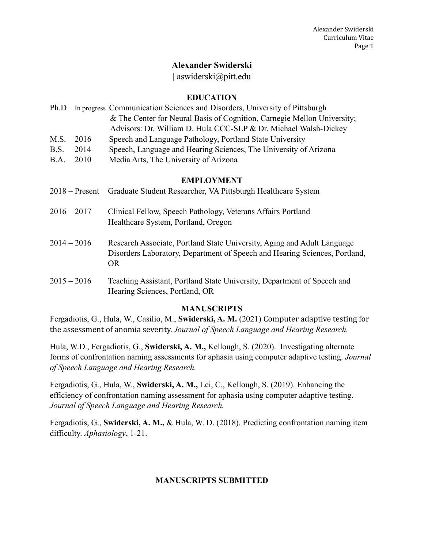## **Alexander Swiderski**

| aswiderski@pitt.edu

#### **EDUCATION**

| Ph.D        |      | In progress Communication Sciences and Disorders, University of Pittsburgh |  |
|-------------|------|----------------------------------------------------------------------------|--|
|             |      | & The Center for Neural Basis of Cognition, Carnegie Mellon University;    |  |
|             |      | Advisors: Dr. William D. Hula CCC-SLP & Dr. Michael Walsh-Dickey           |  |
| M.S. 2016   |      | Speech and Language Pathology, Portland State University                   |  |
| B.S.        | 2014 | Speech, Language and Hearing Sciences, The University of Arizona           |  |
| B.A.        | 2010 | Media Arts, The University of Arizona                                      |  |
|             |      |                                                                            |  |
| EMPI OVMENT |      |                                                                            |  |

#### **EMPLOYMENT**

- 2018 Present Graduate Student Researcher, VA Pittsburgh Healthcare System
- 2016 2017 Clinical Fellow, Speech Pathology, Veterans Affairs Portland Healthcare System, Portland, Oregon
- 2014 2016 Research Associate, Portland State University, Aging and Adult Language Disorders Laboratory, Department of Speech and Hearing Sciences, Portland, OR
- 2015 2016 Teaching Assistant, Portland State University, Department of Speech and Hearing Sciences, Portland, OR

#### **MANUSCRIPTS**

Fergadiotis, G., Hula, W., Casilio, M., Swiderski, A. M. (2021) Computer adaptive testing for the assessment of anomia severity. Journal of Speech Language and Hearing Research.

Hula, W.D., Fergadiotis, G., **Swiderski, A. M.,** Kellough, S. (2020). Investigating alternate forms of confrontation naming assessments for aphasia using computer adaptive testing. *Journal of Speech Language and Hearing Research.* 

Fergadiotis, G., Hula, W., **Swiderski, A. M.,** Lei, C., Kellough, S. (2019). Enhancing the efficiency of confrontation naming assessment for aphasia using computer adaptive testing. *Journal of Speech Language and Hearing Research.* 

Fergadiotis, G., **Swiderski, A. M.,** & Hula, W. D. (2018). Predicting confrontation naming item difficulty. *Aphasiology*, 1-21.

## **MANUSCRIPTS SUBMITTED**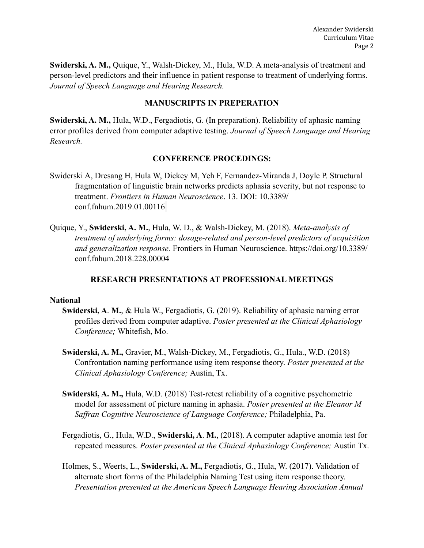**Swiderski, A. M.,** Quique, Y., Walsh-Dickey, M., Hula, W.D. A meta-analysis of treatment and person-level predictors and their influence in patient response to treatment of underlying forms. *Journal of Speech Language and Hearing Research.* 

#### **MANUSCRIPTS IN PREPERATION**

**Swiderski, A. M.,** Hula, W.D., Fergadiotis, G. (In preparation). Reliability of aphasic naming error profiles derived from computer adaptive testing. *Journal of Speech Language and Hearing Research.*

#### **CONFERENCE PROCEDINGS:**

- Swiderski A, Dresang H, Hula W, Dickey M, Yeh F, Fernandez-Miranda J, Doyle P. Structural fragmentation of linguistic brain networks predicts aphasia severity, but not response to treatment. *Frontiers in Human Neuroscience*. 13. DOI: [10.3389/](http://doi.org/10.3389/conf.fnhum.2019.01.00116) [conf.fnhum.2019.01.00116](http://doi.org/10.3389/conf.fnhum.2019.01.00116)
- Quique, Y., **Swiderski, A. M.**, Hula, W. D., & Walsh-Dickey, M. (2018). *Meta-analysis of treatment of underlying forms: dosage-related and person-level predictors of acquisition and generalization response.* Frontiers in Human Neuroscience. https://doi.org/10.3389/ conf.fnhum.2018.228.00004

#### **RESEARCH PRESENTATIONS AT PROFESSIONAL MEETINGS**

#### **National**

- **Swiderski, A**. **M.**, & Hula W., Fergadiotis, G. (2019). Reliability of aphasic naming error profiles derived from computer adaptive. *Poster presented at the Clinical Aphasiology Conference;* Whitefish, Mo.
- **Swiderski, A. M.,** Gravier, M., Walsh-Dickey, M., Fergadiotis, G., Hula., W.D. (2018) Confrontation naming performance using item response theory. *Poster presented at the Clinical Aphasiology Conference;* Austin, Tx.
- **Swiderski, A. M.,** Hula, W.D. (2018) Test-retest reliability of a cognitive psychometric model for assessment of picture naming in aphasia. *Poster presented at the Eleanor M Saffran Cognitive Neuroscience of Language Conference;* Philadelphia, Pa.
- Fergadiotis, G., Hula, W.D., **Swiderski, A**. **M.**, (2018). A computer adaptive anomia test for repeated measures. *Poster presented at the Clinical Aphasiology Conference;* Austin Tx.
- Holmes, S., Weerts, L., **Swiderski, A. M.,** Fergadiotis, G., Hula, W. (2017). Validation of alternate short forms of the Philadelphia Naming Test using item response theory. *Presentation presented at the American Speech Language Hearing Association Annual*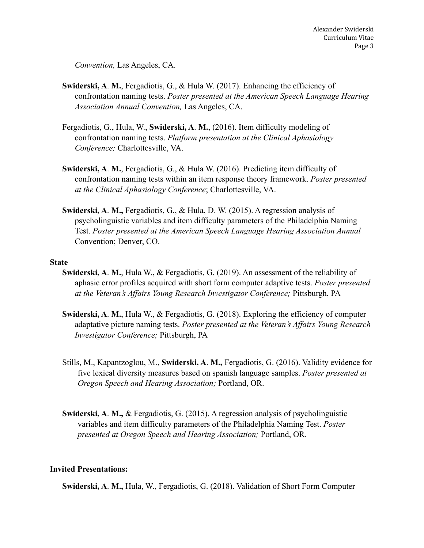*Convention,* Las Angeles, CA.

- **Swiderski, A**. **M.**, Fergadiotis, G., & Hula W. (2017). Enhancing the efficiency of confrontation naming tests. *Poster presented at the American Speech Language Hearing Association Annual Convention,* Las Angeles, CA.
- Fergadiotis, G., Hula, W., **Swiderski, A**. **M.**, (2016). Item difficulty modeling of confrontation naming tests. *Platform presentation at the Clinical Aphasiology Conference;* Charlottesville, VA.
- **Swiderski, A**. **M.**, Fergadiotis, G., & Hula W. (2016). Predicting item difficulty of confrontation naming tests within an item response theory framework. *Poster presented at the Clinical Aphasiology Conference*; Charlottesville, VA.
- **Swiderski, A**. **M.,** Fergadiotis, G., & Hula, D. W. (2015). A regression analysis of psycholinguistic variables and item difficulty parameters of the Philadelphia Naming Test. *Poster presented at the American Speech Language Hearing Association Annual*  Convention; Denver, CO.

#### **State**

- **Swiderski, A**. **M.**, Hula W., & Fergadiotis, G. (2019). An assessment of the reliability of aphasic error profiles acquired with short form computer adaptive tests. *Poster presented at the Veteran's Affairs Young Research Investigator Conference;* Pittsburgh, PA
- **Swiderski, A**. **M.**, Hula W., & Fergadiotis, G. (2018). Exploring the efficiency of computer adaptative picture naming tests. *Poster presented at the Veteran's Affairs Young Research Investigator Conference;* Pittsburgh, PA
- Stills, M., Kapantzoglou, M., **Swiderski, A**. **M.,** Fergadiotis, G. (2016). Validity evidence for five lexical diversity measures based on spanish language samples. *Poster presented at Oregon Speech and Hearing Association;* Portland, OR.
- **Swiderski, A**. **M.,** & Fergadiotis, G. (2015). A regression analysis of psycholinguistic variables and item difficulty parameters of the Philadelphia Naming Test. *Poster presented at Oregon Speech and Hearing Association;* Portland, OR.

#### **Invited Presentations:**

**Swiderski, A**. **M.,** Hula, W., Fergadiotis, G. (2018). Validation of Short Form Computer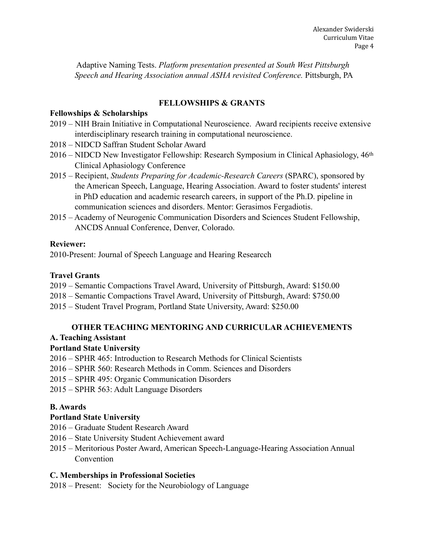Adaptive Naming Tests. *Platform presentation presented at South West Pittsburgh Speech and Hearing Association annual ASHA revisited Conference.* Pittsburgh, PA

### **FELLOWSHIPS & GRANTS**

### **Fellowships & Scholarships**

- 2019 NIH Brain Initiative in Computational Neuroscience. Award recipients receive extensive interdisciplinary research training in computational neuroscience.
- 2018 NIDCD Saffran Student Scholar Award
- 2016 NIDCD New Investigator Fellowship: Research Symposium in Clinical Aphasiology, 46th Clinical Aphasiology Conference
- 2015 Recipient, *Students Preparing for Academic-Research Careers* (SPARC), sponsored by the American Speech, Language, Hearing Association. Award to foster students' interest in PhD education and academic research careers, in support of the Ph.D. pipeline in communication sciences and disorders. Mentor: Gerasimos Fergadiotis.
- 2015 Academy of Neurogenic Communication Disorders and Sciences Student Fellowship, ANCDS Annual Conference, Denver, Colorado.

### **Reviewer:**

2010-Present: Journal of Speech Language and Hearing Researcch

### **Travel Grants**

- 2019 Semantic Compactions Travel Award, University of Pittsburgh, Award: \$150.00
- 2018 Semantic Compactions Travel Award, University of Pittsburgh, Award: \$750.00
- 2015 Student Travel Program, Portland State University, Award: \$250.00

## **OTHER TEACHING MENTORING AND CURRICULAR ACHIEVEMENTS**

## **A. Teaching Assistant**

## **Portland State University**

- 2016 SPHR 465: Introduction to Research Methods for Clinical Scientists
- 2016 SPHR 560: Research Methods in Comm. Sciences and Disorders
- 2015 SPHR 495: Organic Communication Disorders
- 2015 SPHR 563: Adult Language Disorders

## **B. Awards**

## **Portland State University**

- 2016 Graduate Student Research Award
- 2016 State University Student Achievement award
- 2015 Meritorious Poster Award, American Speech-Language-Hearing Association Annual **Convention**

## **C. Memberships in Professional Societies**

2018 – Present: Society for the Neurobiology of Language